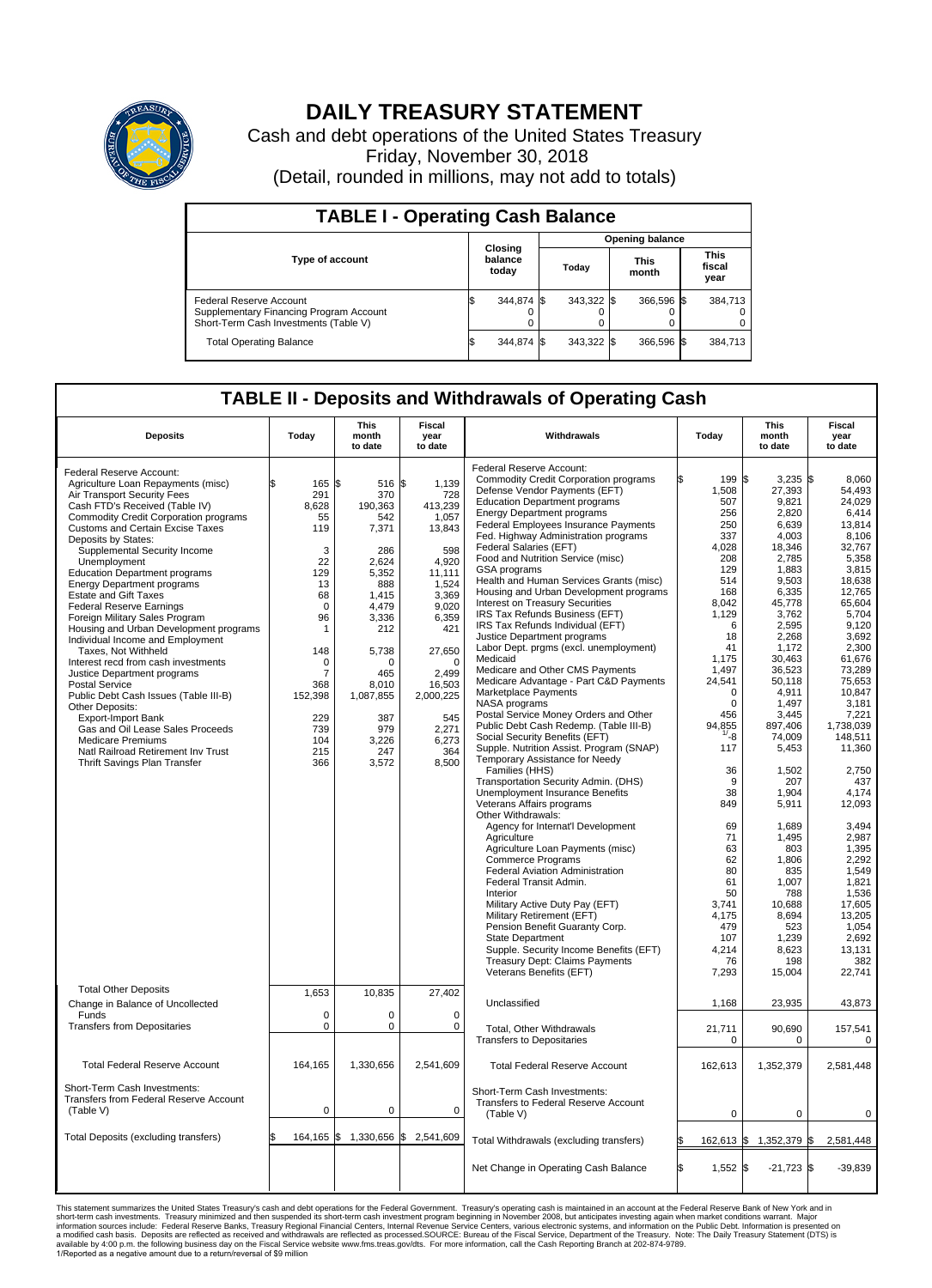

## **DAILY TREASURY STATEMENT**

Cash and debt operations of the United States Treasury Friday, November 30, 2018 (Detail, rounded in millions, may not add to totals)

| <b>TABLE I - Operating Cash Balance</b>                                                                     |    |                             |  |                        |  |                      |  |                               |  |  |  |
|-------------------------------------------------------------------------------------------------------------|----|-----------------------------|--|------------------------|--|----------------------|--|-------------------------------|--|--|--|
|                                                                                                             |    | Closing<br>balance<br>today |  | <b>Opening balance</b> |  |                      |  |                               |  |  |  |
| <b>Type of account</b>                                                                                      |    |                             |  | Today                  |  | <b>This</b><br>month |  | <b>This</b><br>fiscal<br>year |  |  |  |
| Federal Reserve Account<br>Supplementary Financing Program Account<br>Short-Term Cash Investments (Table V) |    | 344,874 \$                  |  | $343.322$ \$           |  | 366.596 \$           |  | 384,713                       |  |  |  |
| <b>Total Operating Balance</b>                                                                              | IЭ | 344,874 \$                  |  | 343.322 \$             |  | 366,596 \$           |  | 384,713                       |  |  |  |

## **TABLE II - Deposits and Withdrawals of Operating Cash**

| <b>Deposits</b>                                                                                                                                                                                                                                                                                                                                                                                                                                                                                                                                                                                                                                                                                                                                                                                                                                                                                                        | Today                                                                                                                                                                          | <b>This</b><br>month<br>to date                                                                                                                                                                            | Fiscal<br>year<br>to date                                                                                                                                                                                         | Withdrawals                                                                                                                                                                                                                                                                                                                                                                                                                                                                                                                                                                                                                                                                                                                                                                                                                                                                                                                                                                                                                                                                                                                                                                                                                                                                                                                                                                                                                                                                                                                                 | Today                                                                                                                                                                                                                                                                                                                               | <b>This</b><br>month<br>to date                                                                                                                                                                                                                                                                                                                                                                 | <b>Fiscal</b><br>year<br>to date                                                                                                                                                                                                                                                                                                                                                                         |
|------------------------------------------------------------------------------------------------------------------------------------------------------------------------------------------------------------------------------------------------------------------------------------------------------------------------------------------------------------------------------------------------------------------------------------------------------------------------------------------------------------------------------------------------------------------------------------------------------------------------------------------------------------------------------------------------------------------------------------------------------------------------------------------------------------------------------------------------------------------------------------------------------------------------|--------------------------------------------------------------------------------------------------------------------------------------------------------------------------------|------------------------------------------------------------------------------------------------------------------------------------------------------------------------------------------------------------|-------------------------------------------------------------------------------------------------------------------------------------------------------------------------------------------------------------------|---------------------------------------------------------------------------------------------------------------------------------------------------------------------------------------------------------------------------------------------------------------------------------------------------------------------------------------------------------------------------------------------------------------------------------------------------------------------------------------------------------------------------------------------------------------------------------------------------------------------------------------------------------------------------------------------------------------------------------------------------------------------------------------------------------------------------------------------------------------------------------------------------------------------------------------------------------------------------------------------------------------------------------------------------------------------------------------------------------------------------------------------------------------------------------------------------------------------------------------------------------------------------------------------------------------------------------------------------------------------------------------------------------------------------------------------------------------------------------------------------------------------------------------------|-------------------------------------------------------------------------------------------------------------------------------------------------------------------------------------------------------------------------------------------------------------------------------------------------------------------------------------|-------------------------------------------------------------------------------------------------------------------------------------------------------------------------------------------------------------------------------------------------------------------------------------------------------------------------------------------------------------------------------------------------|----------------------------------------------------------------------------------------------------------------------------------------------------------------------------------------------------------------------------------------------------------------------------------------------------------------------------------------------------------------------------------------------------------|
| Federal Reserve Account:<br>Agriculture Loan Repayments (misc)<br>Air Transport Security Fees<br>Cash FTD's Received (Table IV)<br><b>Commodity Credit Corporation programs</b><br><b>Customs and Certain Excise Taxes</b><br>Deposits by States:<br>Supplemental Security Income<br>Unemployment<br><b>Education Department programs</b><br><b>Energy Department programs</b><br><b>Estate and Gift Taxes</b><br><b>Federal Reserve Earnings</b><br>Foreign Military Sales Program<br>Housing and Urban Development programs<br>Individual Income and Employment<br>Taxes, Not Withheld<br>Interest recd from cash investments<br>Justice Department programs<br><b>Postal Service</b><br>Public Debt Cash Issues (Table III-B)<br>Other Deposits:<br><b>Export-Import Bank</b><br>Gas and Oil Lease Sales Proceeds<br><b>Medicare Premiums</b><br>Natl Railroad Retirement Inv Trust<br>Thrift Savings Plan Transfer | \$<br>165<br>291<br>8,628<br>55<br>119<br>3<br>22<br>129<br>13<br>68<br>$\mathbf 0$<br>96<br>1<br>148<br>$\mathbf 0$<br>7<br>368<br>152,398<br>229<br>739<br>104<br>215<br>366 | l\$<br>516 \$<br>370<br>190,363<br>542<br>7,371<br>286<br>2,624<br>5,352<br>888<br>1.415<br>4,479<br>3,336<br>212<br>5,738<br>$\Omega$<br>465<br>8,010<br>1,087,855<br>387<br>979<br>3,226<br>247<br>3,572 | 1,139<br>728<br>413,239<br>1,057<br>13,843<br>598<br>4.920<br>11,111<br>1,524<br>3,369<br>9,020<br>6,359<br>421<br>27,650<br>$\mathbf 0$<br>2.499<br>16,503<br>2,000,225<br>545<br>2,271<br>6,273<br>364<br>8,500 | Federal Reserve Account:<br><b>Commodity Credit Corporation programs</b><br>Defense Vendor Payments (EFT)<br><b>Education Department programs</b><br><b>Energy Department programs</b><br><b>Federal Employees Insurance Payments</b><br>Fed. Highway Administration programs<br>Federal Salaries (EFT)<br>Food and Nutrition Service (misc)<br><b>GSA</b> programs<br>Health and Human Services Grants (misc)<br>Housing and Urban Development programs<br>Interest on Treasury Securities<br>IRS Tax Refunds Business (EFT)<br>IRS Tax Refunds Individual (EFT)<br>Justice Department programs<br>Labor Dept. prgms (excl. unemployment)<br>Medicaid<br>Medicare and Other CMS Payments<br>Medicare Advantage - Part C&D Payments<br>Marketplace Payments<br>NASA programs<br>Postal Service Money Orders and Other<br>Public Debt Cash Redemp. (Table III-B)<br>Social Security Benefits (EFT)<br>Supple. Nutrition Assist. Program (SNAP)<br>Temporary Assistance for Needy<br>Families (HHS)<br>Transportation Security Admin. (DHS)<br>Unemployment Insurance Benefits<br>Veterans Affairs programs<br>Other Withdrawals:<br>Agency for Internat'l Development<br>Agriculture<br>Agriculture Loan Payments (misc)<br><b>Commerce Programs</b><br>Federal Aviation Administration<br>Federal Transit Admin.<br>Interior<br>Military Active Duty Pay (EFT)<br>Military Retirement (EFT)<br>Pension Benefit Guaranty Corp.<br><b>State Department</b><br>Supple. Security Income Benefits (EFT)<br><b>Treasury Dept: Claims Payments</b> | l\$<br>199<br>1,508<br>507<br>256<br>250<br>337<br>4,028<br>208<br>129<br>514<br>168<br>8,042<br>1,129<br>6<br>18<br>41<br>1,175<br>1,497<br>24,541<br>$\Omega$<br>$\mathbf 0$<br>456<br>94,855<br>$1/ - 8$<br>117<br>36<br>9<br>38<br>849<br>69<br>71<br>63<br>62<br>80<br>61<br>50<br>3.741<br>4.175<br>479<br>107<br>4,214<br>76 | $3,235$ \$<br>\$<br>27,393<br>9,821<br>2,820<br>6.639<br>4,003<br>18,346<br>2,785<br>1.883<br>9,503<br>6,335<br>45,778<br>3,762<br>2,595<br>2,268<br>1,172<br>30,463<br>36,523<br>50,118<br>4,911<br>1,497<br>3,445<br>897,406<br>74,009<br>5,453<br>1,502<br>207<br>1,904<br>5,911<br>1,689<br>1,495<br>803<br>1.806<br>835<br>1,007<br>788<br>10,688<br>8.694<br>523<br>1,239<br>8,623<br>198 | 8,060<br>54,493<br>24.029<br>6,414<br>13.814<br>8,106<br>32,767<br>5,358<br>3,815<br>18,638<br>12,765<br>65,604<br>5.704<br>9,120<br>3.692<br>2,300<br>61,676<br>73,289<br>75,653<br>10.847<br>3,181<br>7,221<br>1,738,039<br>148,511<br>11,360<br>2.750<br>437<br>4,174<br>12,093<br>3.494<br>2,987<br>1,395<br>2.292<br>1,549<br>1,821<br>1,536<br>17,605<br>13.205<br>1,054<br>2.692<br>13,131<br>382 |
| <b>Total Other Deposits</b><br>Change in Balance of Uncollected                                                                                                                                                                                                                                                                                                                                                                                                                                                                                                                                                                                                                                                                                                                                                                                                                                                        | 1,653                                                                                                                                                                          | 10,835                                                                                                                                                                                                     | 27,402                                                                                                                                                                                                            | Veterans Benefits (EFT)<br>Unclassified                                                                                                                                                                                                                                                                                                                                                                                                                                                                                                                                                                                                                                                                                                                                                                                                                                                                                                                                                                                                                                                                                                                                                                                                                                                                                                                                                                                                                                                                                                     | 7,293<br>1,168                                                                                                                                                                                                                                                                                                                      | 15,004<br>23,935                                                                                                                                                                                                                                                                                                                                                                                | 22,741<br>43,873                                                                                                                                                                                                                                                                                                                                                                                         |
| Funds<br><b>Transfers from Depositaries</b>                                                                                                                                                                                                                                                                                                                                                                                                                                                                                                                                                                                                                                                                                                                                                                                                                                                                            | 0<br>$\mathbf 0$                                                                                                                                                               | 0<br>0                                                                                                                                                                                                     | $\mathbf 0$<br>$\mathbf 0$                                                                                                                                                                                        | Total, Other Withdrawals<br><b>Transfers to Depositaries</b>                                                                                                                                                                                                                                                                                                                                                                                                                                                                                                                                                                                                                                                                                                                                                                                                                                                                                                                                                                                                                                                                                                                                                                                                                                                                                                                                                                                                                                                                                | 21,711<br>$\mathbf 0$                                                                                                                                                                                                                                                                                                               | 90,690<br>$\mathbf 0$                                                                                                                                                                                                                                                                                                                                                                           | 157,541<br>$\Omega$                                                                                                                                                                                                                                                                                                                                                                                      |
| <b>Total Federal Reserve Account</b>                                                                                                                                                                                                                                                                                                                                                                                                                                                                                                                                                                                                                                                                                                                                                                                                                                                                                   | 164,165                                                                                                                                                                        | 1,330,656                                                                                                                                                                                                  | 2,541,609                                                                                                                                                                                                         | <b>Total Federal Reserve Account</b>                                                                                                                                                                                                                                                                                                                                                                                                                                                                                                                                                                                                                                                                                                                                                                                                                                                                                                                                                                                                                                                                                                                                                                                                                                                                                                                                                                                                                                                                                                        | 162,613                                                                                                                                                                                                                                                                                                                             | 1,352,379                                                                                                                                                                                                                                                                                                                                                                                       | 2,581,448                                                                                                                                                                                                                                                                                                                                                                                                |
| Short-Term Cash Investments:<br>Transfers from Federal Reserve Account<br>(Table V)                                                                                                                                                                                                                                                                                                                                                                                                                                                                                                                                                                                                                                                                                                                                                                                                                                    | $\mathbf 0$                                                                                                                                                                    | 0                                                                                                                                                                                                          | $\mathbf 0$                                                                                                                                                                                                       | Short-Term Cash Investments:<br>Transfers to Federal Reserve Account<br>(Table V)                                                                                                                                                                                                                                                                                                                                                                                                                                                                                                                                                                                                                                                                                                                                                                                                                                                                                                                                                                                                                                                                                                                                                                                                                                                                                                                                                                                                                                                           | 0                                                                                                                                                                                                                                                                                                                                   | $\mathbf 0$                                                                                                                                                                                                                                                                                                                                                                                     | $\mathbf 0$                                                                                                                                                                                                                                                                                                                                                                                              |
| Total Deposits (excluding transfers)                                                                                                                                                                                                                                                                                                                                                                                                                                                                                                                                                                                                                                                                                                                                                                                                                                                                                   |                                                                                                                                                                                | 164,165 \$1,330,656 \$2,541,609                                                                                                                                                                            |                                                                                                                                                                                                                   | Total Withdrawals (excluding transfers)                                                                                                                                                                                                                                                                                                                                                                                                                                                                                                                                                                                                                                                                                                                                                                                                                                                                                                                                                                                                                                                                                                                                                                                                                                                                                                                                                                                                                                                                                                     | 162,613 \$                                                                                                                                                                                                                                                                                                                          | 1,352,379                                                                                                                                                                                                                                                                                                                                                                                       | 2,581,448<br>\$                                                                                                                                                                                                                                                                                                                                                                                          |
|                                                                                                                                                                                                                                                                                                                                                                                                                                                                                                                                                                                                                                                                                                                                                                                                                                                                                                                        |                                                                                                                                                                                |                                                                                                                                                                                                            |                                                                                                                                                                                                                   | Net Change in Operating Cash Balance                                                                                                                                                                                                                                                                                                                                                                                                                                                                                                                                                                                                                                                                                                                                                                                                                                                                                                                                                                                                                                                                                                                                                                                                                                                                                                                                                                                                                                                                                                        | Ŝ.<br>1,552                                                                                                                                                                                                                                                                                                                         | \$<br>$-21,723$                                                                                                                                                                                                                                                                                                                                                                                 | l\$<br>$-39,839$                                                                                                                                                                                                                                                                                                                                                                                         |

This statement summarizes the United States Treasury's cash and debt operations for the Federal Government. Treasury's operating cash is maintained in an account at the Federal Reserve Bank of New York and in<br>short-term ca